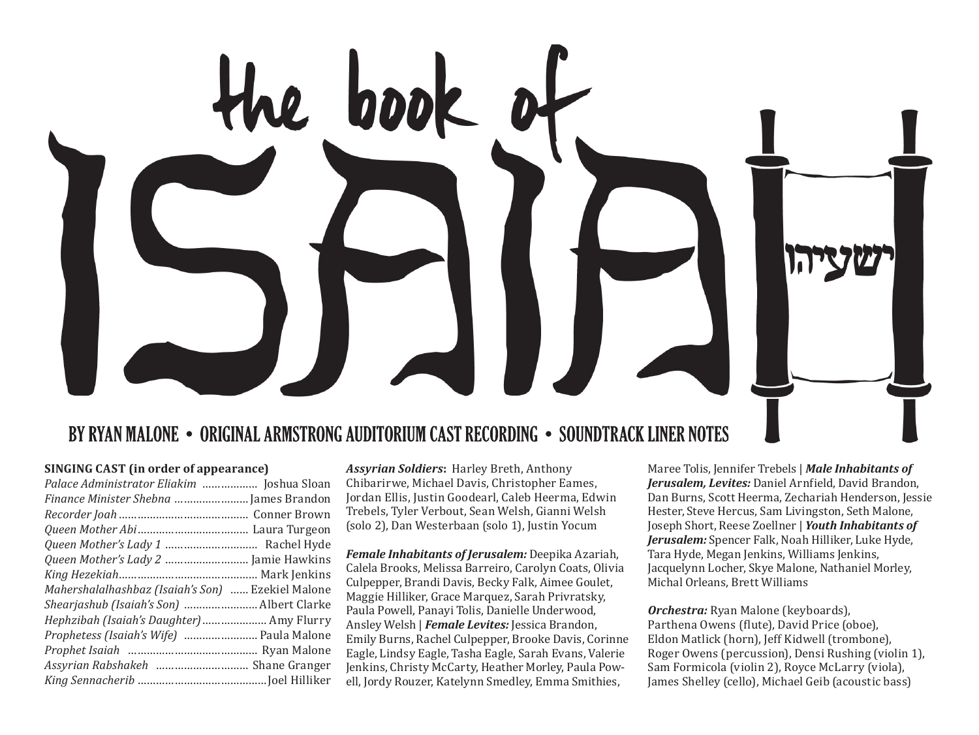

## BY RYAN MALONE • ORIGINAL ARMSTRONG AUDITORIUM CAST RECORDING • SOUNDTRACK LINER NOTES

#### SINGING CAST (in order of annearance)

| Palace Administrator Eliakim  Joshua Sloan        |  |
|---------------------------------------------------|--|
| Finance Minister Shebna  James Brandon            |  |
|                                                   |  |
|                                                   |  |
|                                                   |  |
|                                                   |  |
|                                                   |  |
| Mahershalalhashbaz (Isaiah's Son)  Ezekiel Malone |  |
| Shearjashub (Isaiah's Son)  Albert Clarke         |  |
| Hephzibah (Isaiah's Daughter)  Amy Flurry         |  |
| Prophetess (Isaiah's Wife)  Paula Malone          |  |
|                                                   |  |
| Assyrian Rabshakeh  Shane Granger                 |  |
|                                                   |  |
|                                                   |  |

**Assyrian Soldiers: Harley Breth, Anthony** Chibarirwe, Michael Davis, Christopher Eames, Jordan Ellis, Justin Goodearl, Caleb Heerma, Edwin Trebels, Tyler Verbout, Sean Welsh, Gianni Welsh (solo 2). Dan Westerbaan (solo 1). Justin Yocum

Female Inhabitants of Jerusalem: Deepika Azariah. Calela Brooks, Melissa Barreiro, Carolyn Coats, Olivia Culpepper, Brandi Davis, Becky Falk, Aimee Goulet, Maggie Hilliker, Grace Marquez, Sarah Privratsky, Paula Powell, Panayi Tolis, Danielle Underwood, Ansley Welsh | Female Levites: Jessica Brandon, Emily Burns, Rachel Culpepper, Brooke Davis, Corinne Eagle, Lindsy Eagle, Tasha Eagle, Sarah Evans, Valerie Jenkins, Christy McCarty, Heather Morley, Paula Powell, Jordy Rouzer, Katelynn Smedley, Emma Smithies,

Maree Tolis, Jennifer Trebels | Male Inhabitants of Jerusalem, Levites: Daniel Arnfield, David Brandon, Dan Burns, Scott Heerma, Zechariah Henderson, Jessie Hester, Steve Hercus, Sam Livingston, Seth Malone. Joseph Short, Reese Zoellner | Youth Inhabitants of Jerusalem: Spencer Falk, Noah Hilliker, Luke Hyde, Tara Hyde, Megan Jenkins, Williams Jenkins, Jacquelynn Locher, Skye Malone, Nathaniel Morley. Michal Orleans, Brett Williams

Orchestra: Ryan Malone (keyboards), Parthena Owens (flute), David Price (oboe), Eldon Matlick (horn), Jeff Kidwell (trombone). Roger Owens (percussion), Densi Rushing (violin 1). Sam Formicola (violin 2), Royce McLarry (viola), James Shelley (cello), Michael Geib (acoustic bass)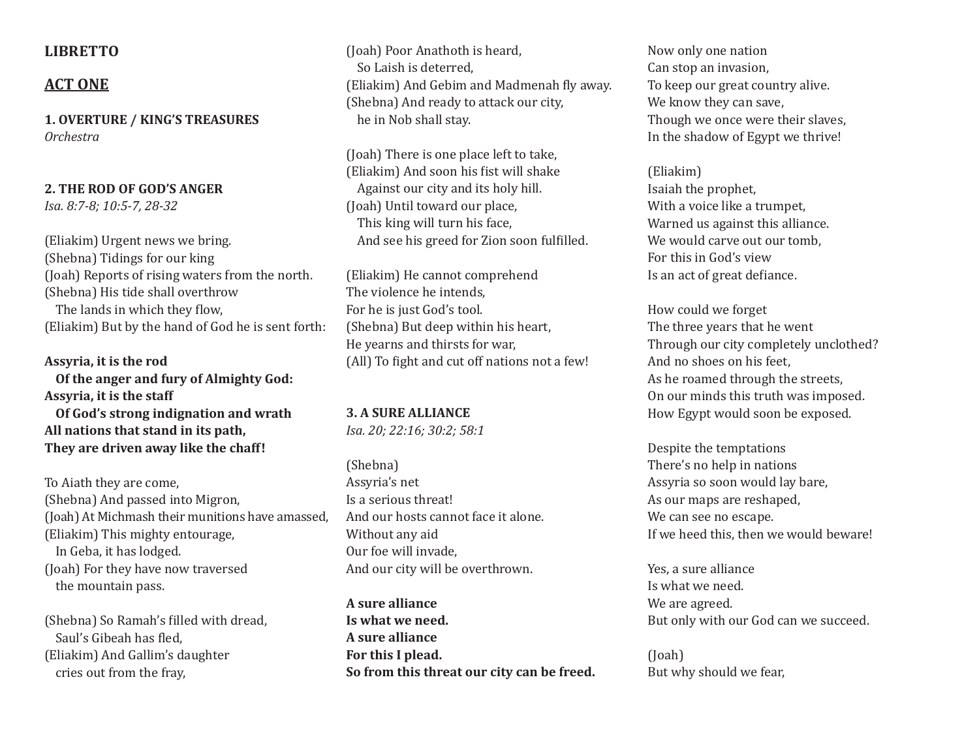## **LIBRETTO**

## **ACT ONE**

**1. OVERTURE / KING'S TREASURES** *Orchestra*

**2. THE ROD OF GOD'S ANGER**

*Isa. 8:7-8; 10:5-7, 28-32*

(Eliakim) Urgent news we bring. (Shebna) Tidings for our king (Joah) Reports of rising waters from the north. (Shebna) His tide shall overthrow The lands in which they flow, (Eliakim) But by the hand of God he is sent forth:

**Assyria, it is the rod Of the anger and fury of Almighty God: Assyria, it is the staff Of God's strong indignation and wrath All nations that stand in its path, They are driven away like the chaff!**

To Aiath they are come, (Shebna) And passed into Migron, (Joah) At Michmash their munitions have amassed, (Eliakim) This mighty entourage, In Geba, it has lodged. (Joah) For they have now traversed the mountain pass.

(Shebna) So Ramah's filled with dread, Saul's Gibeah has fled, (Eliakim) And Gallim's daughter cries out from the fray,

(Joah) Poor Anathoth is heard, So Laish is deterred, (Eliakim) And Gebim and Madmenah fly away. (Shebna) And ready to attack our city, he in Nob shall stay.

(Joah) There is one place left to take, (Eliakim) And soon his fist will shake Against our city and its holy hill. (Joah) Until toward our place, This king will turn his face, And see his greed for Zion soon fulfilled.

(Eliakim) He cannot comprehend The violence he intends, For he is just God's tool. (Shebna) But deep within his heart, He yearns and thirsts for war, (All) To fight and cut off nations not a few!

**3. A SURE ALLIANCE**  *Isa. 20; 22:16; 30:2; 58:1*

(Shebna) Assyria's net Is a serious threat! And our hosts cannot face it alone. Without any aid Our foe will invade, And our city will be overthrown.

**A sure alliance Is what we need. A sure alliance For this I plead. So from this threat our city can be freed.**

Now only one nation Can stop an invasion, To keep our great country alive. We know they can save, Though we once were their slaves, In the shadow of Egypt we thrive!

(Eliakim) Isaiah the prophet, With a voice like a trumpet, Warned us against this alliance. We would carve out our tomb. For this in God's view Is an act of great defiance.

How could we forget The three years that he went Through our city completely unclothed? And no shoes on his feet, As he roamed through the streets, On our minds this truth was imposed. How Egypt would soon be exposed.

Despite the temptations There's no help in nations Assyria so soon would lay bare, As our maps are reshaped, We can see no escape. If we heed this, then we would beware!

Yes, a sure alliance Is what we need. We are agreed. But only with our God can we succeed.

(Joah) But why should we fear,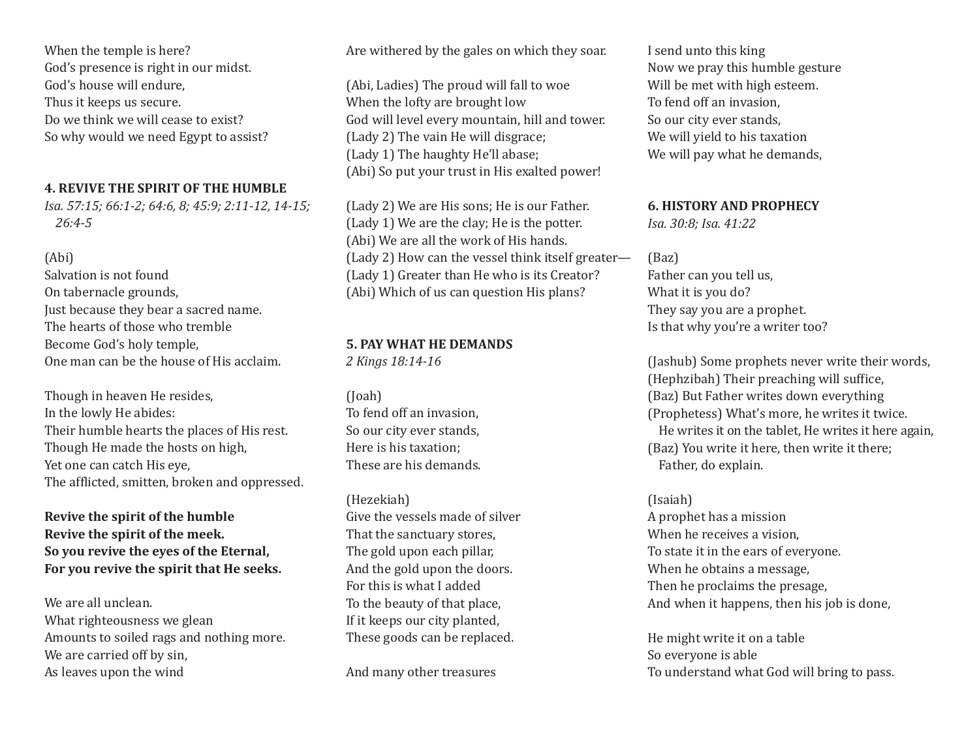When the temple is here? God's presence is right in our midst. God's house will endure, Thus it keeps us secure. Do we think we will cease to exist? So why would we need Egypt to assist?

## **4. REVIVE THE SPIRIT OF THE HUMBLE**

*Isa. 57:15; 66:1-2; 64:6, 8; 45:9; 2:11-12, 14-15; 26:4-5*

## (Abi)

Salvation is not found On tabernacle grounds, Just because they bear a sacred name. The hearts of those who tremble Become God's holy temple, One man can be the house of His acclaim.

Though in heaven He resides, In the lowly He abides: Their humble hearts the places of His rest. Though He made the hosts on high, Yet one can catch His eye, The afflicted, smitten, broken and oppressed.

**Revive the spirit of the humble Revive the spirit of the meek. So you revive the eyes of the Eternal, For you revive the spirit that He seeks.**

We are all unclean. What righteousness we glean Amounts to soiled rags and nothing more. We are carried off by sin, As leaves upon the wind

Are withered by the gales on which they soar.

(Abi, Ladies) The proud will fall to woe When the lofty are brought low God will level every mountain, hill and tower. (Lady 2) The vain He will disgrace; (Lady 1) The haughty He'll abase; (Abi) So put your trust in His exalted power!

(Lady 2) We are His sons; He is our Father. (Lady 1) We are the clay; He is the potter. (Abi) We are all the work of His hands. (Lady 2) How can the vessel think itself greater— (Lady 1) Greater than He who is its Creator? (Abi) Which of us can question His plans?

## **5. PAY WHAT HE DEMANDS**

*2 Kings 18:14-16*

(Joah) To fend off an invasion, So our city ever stands, Here is his taxation; These are his demands.

(Hezekiah) Give the vessels made of silver That the sanctuary stores, The gold upon each pillar, And the gold upon the doors. For this is what I added To the beauty of that place, If it keeps our city planted, These goods can be replaced.

And many other treasures

I send unto this king Now we pray this humble gesture Will be met with high esteem. To fend off an invasion, So our city ever stands, We will yield to his taxation We will pay what he demands,

## **6. HISTORY AND PROPHECY**

*Isa. 30:8; Isa. 41:22*

(Baz) Father can you tell us,

What it is you do? They say you are a prophet. Is that why you're a writer too?

(Jashub) Some prophets never write their words, (Hephzibah) Their preaching will suffice, (Baz) But Father writes down everything (Prophetess) What's more, he writes it twice. He writes it on the tablet, He writes it here again, (Baz) You write it here, then write it there; Father, do explain.

(Isaiah) A prophet has a mission When he receives a vision, To state it in the ears of everyone. When he obtains a message, Then he proclaims the presage, And when it happens, then his job is done,

He might write it on a table So everyone is able To understand what God will bring to pass.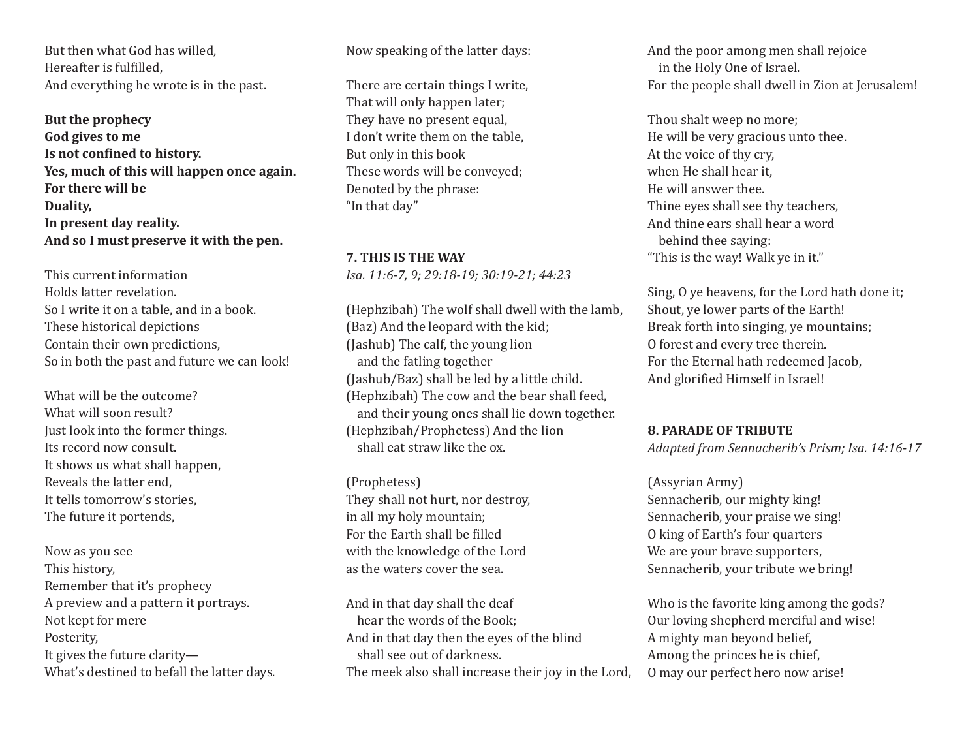But then what God has willed, Hereafter is fulfilled, And everything he wrote is in the past.

**But the prophecy God gives to me Is not confined to history. Yes, much of this will happen once again. For there will be Duality, In present day reality. And so I must preserve it with the pen.**

This current information Holds latter revelation. So I write it on a table, and in a book. These historical depictions Contain their own predictions, So in both the past and future we can look!

What will be the outcome? What will soon result? Just look into the former things. Its record now consult. It shows us what shall happen, Reveals the latter end, It tells tomorrow's stories, The future it portends,

Now as you see This history, Remember that it's prophecy A preview and a pattern it portrays. Not kept for mere Posterity, It gives the future clarity— What's destined to befall the latter days. Now speaking of the latter days:

There are certain things I write, That will only happen later; They have no present equal, I don't write them on the table, But only in this book These words will be conveyed; Denoted by the phrase: "In that day"

**7. THIS IS THE WAY**  *Isa. 11:6-7, 9; 29:18-19; 30:19-21; 44:23*

(Hephzibah) The wolf shall dwell with the lamb, (Baz) And the leopard with the kid; (Jashub) The calf, the young lion and the fatling together (Jashub/Baz) shall be led by a little child. (Hephzibah) The cow and the bear shall feed, and their young ones shall lie down together. (Hephzibah/Prophetess) And the lion shall eat straw like the ox.

(Prophetess) They shall not hurt, nor destroy, in all my holy mountain; For the Earth shall be filled with the knowledge of the Lord as the waters cover the sea.

And in that day shall the deaf hear the words of the Book; And in that day then the eyes of the blind shall see out of darkness. The meek also shall increase their joy in the Lord, And the poor among men shall rejoice in the Holy One of Israel. For the people shall dwell in Zion at Jerusalem!

Thou shalt weep no more; He will be very gracious unto thee. At the voice of thy cry, when He shall hear it, He will answer thee. Thine eyes shall see thy teachers, And thine ears shall hear a word behind thee saying: "This is the way! Walk ye in it."

Sing, O ye heavens, for the Lord hath done it; Shout, ye lower parts of the Earth! Break forth into singing, ye mountains; O forest and every tree therein. For the Eternal hath redeemed Jacob, And glorified Himself in Israel!

#### **8. PARADE OF TRIBUTE**

*Adapted from Sennacherib's Prism; Isa. 14:16-17*

#### (Assyrian Army)

Sennacherib, our mighty king! Sennacherib, your praise we sing! O king of Earth's four quarters We are your brave supporters, Sennacherib, your tribute we bring!

Who is the favorite king among the gods? Our loving shepherd merciful and wise! A mighty man beyond belief, Among the princes he is chief, O may our perfect hero now arise!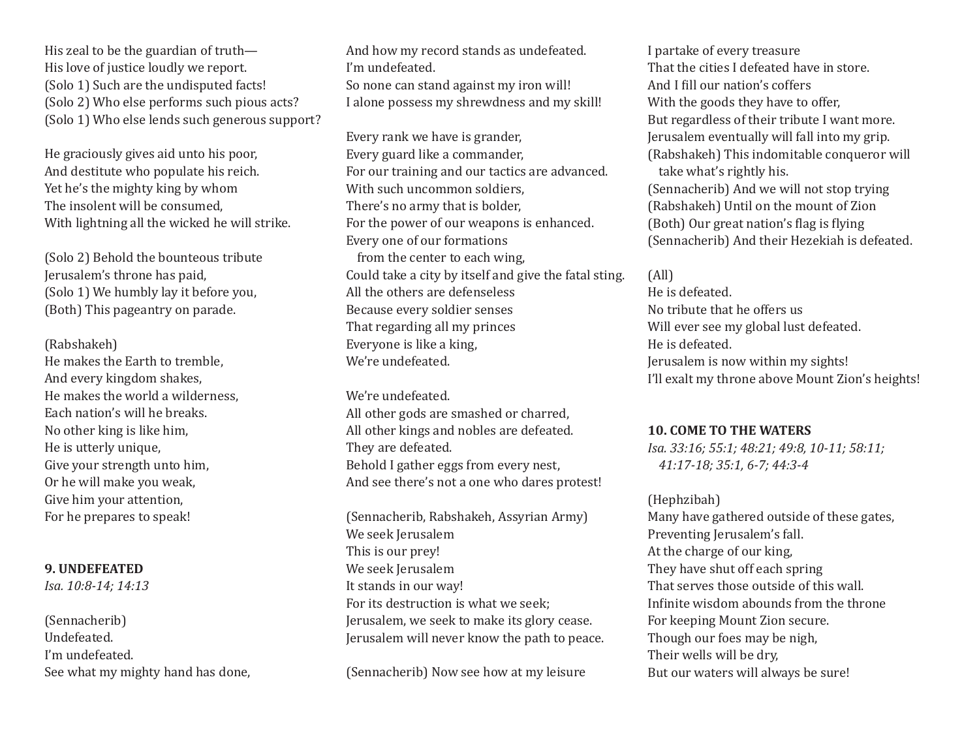His zeal to be the guardian of truth— His love of justice loudly we report. (Solo 1) Such are the undisputed facts! (Solo 2) Who else performs such pious acts? (Solo 1) Who else lends such generous support?

He graciously gives aid unto his poor, And destitute who populate his reich. Yet he's the mighty king by whom The insolent will be consumed, With lightning all the wicked he will strike.

(Solo 2) Behold the bounteous tribute Jerusalem's throne has paid, (Solo 1) We humbly lay it before you, (Both) This pageantry on parade.

#### (Rabshakeh)

He makes the Earth to tremble, And every kingdom shakes, He makes the world a wilderness, Each nation's will he breaks. No other king is like him, He is utterly unique, Give your strength unto him, Or he will make you weak, Give him your attention, For he prepares to speak!

## **9. UNDEFEATED**

*Isa. 10:8-14; 14:13*

(Sennacherib) Undefeated. I'm undefeated. See what my mighty hand has done, And how my record stands as undefeated. I'm undefeated. So none can stand against my iron will! I alone possess my shrewdness and my skill!

Every rank we have is grander, Every guard like a commander, For our training and our tactics are advanced. With such uncommon soldiers. There's no army that is bolder, For the power of our weapons is enhanced. Every one of our formations from the center to each wing, Could take a city by itself and give the fatal sting. All the others are defenseless Because every soldier senses That regarding all my princes Everyone is like a king, We're undefeated.

We're undefeated. All other gods are smashed or charred, All other kings and nobles are defeated. They are defeated. Behold I gather eggs from every nest, And see there's not a one who dares protest!

(Sennacherib, Rabshakeh, Assyrian Army) We seek Jerusalem This is our prey! We seek Jerusalem It stands in our way! For its destruction is what we seek; Jerusalem, we seek to make its glory cease. Jerusalem will never know the path to peace.

(Sennacherib) Now see how at my leisure

I partake of every treasure That the cities I defeated have in store. And I fill our nation's coffers With the goods they have to offer, But regardless of their tribute I want more. Jerusalem eventually will fall into my grip. (Rabshakeh) This indomitable conqueror will take what's rightly his. (Sennacherib) And we will not stop trying (Rabshakeh) Until on the mount of Zion (Both) Our great nation's flag is flying (Sennacherib) And their Hezekiah is defeated.

## (All)

He is defeated. No tribute that he offers us Will ever see my global lust defeated. He is defeated. Jerusalem is now within my sights! I'll exalt my throne above Mount Zion's heights!

#### **10. COME TO THE WATERS**

*Isa. 33:16; 55:1; 48:21; 49:8, 10-11; 58:11; 41:17-18; 35:1, 6-7; 44:3-4*

(Hephzibah) Many have gathered outside of these gates, Preventing Jerusalem's fall. At the charge of our king, They have shut off each spring That serves those outside of this wall. Infinite wisdom abounds from the throne For keeping Mount Zion secure. Though our foes may be nigh, Their wells will be dry, But our waters will always be sure!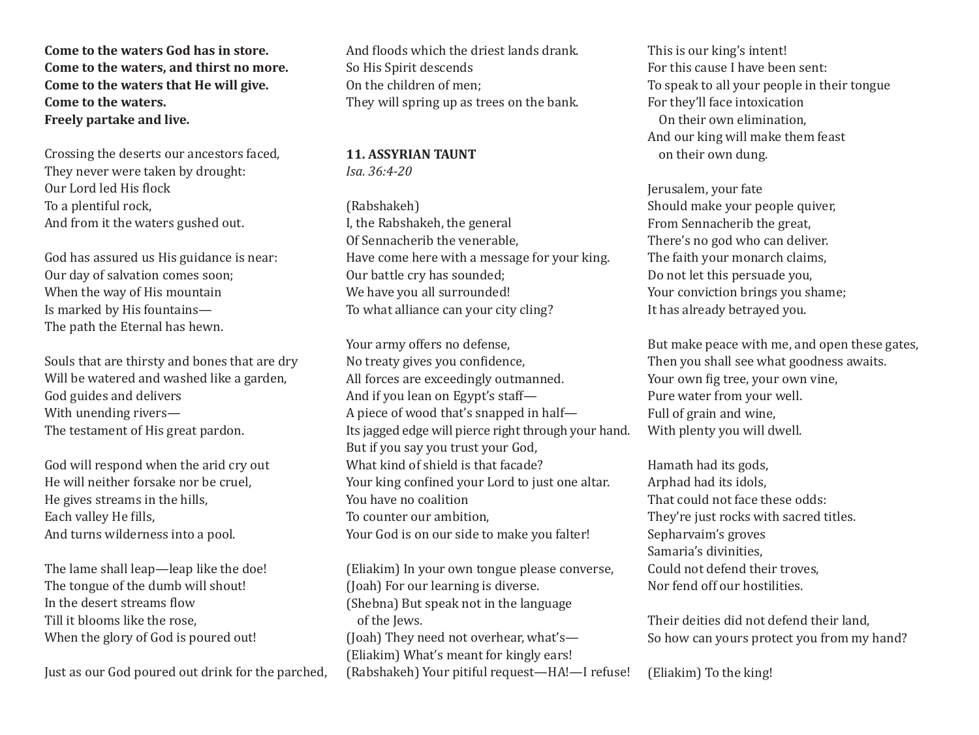**Come to the waters God has in store. Come to the waters, and thirst no more. Come to the waters that He will give. Come to the waters. Freely partake and live.** 

Crossing the deserts our ancestors faced, They never were taken by drought: Our Lord led His flock To a plentiful rock, And from it the waters gushed out.

God has assured us His guidance is near: Our day of salvation comes soon; When the way of His mountain Is marked by His fountains— The path the Eternal has hewn.

Souls that are thirsty and bones that are dry Will be watered and washed like a garden, God guides and delivers With unending rivers— The testament of His great pardon.

God will respond when the arid cry out He will neither forsake nor be cruel, He gives streams in the hills, Each valley He fills, And turns wilderness into a pool.

The lame shall leap—leap like the doe! The tongue of the dumb will shout! In the desert streams flow Till it blooms like the rose, When the glory of God is poured out!

Just as our God poured out drink for the parched,

And floods which the driest lands drank. So His Spirit descends On the children of men; They will spring up as trees on the bank.

## **11. ASSYRIAN TAUNT**  *Isa. 36:4-20*

(Rabshakeh) I, the Rabshakeh, the general Of Sennacherib the venerable, Have come here with a message for your king. Our battle cry has sounded; We have you all surrounded! To what alliance can your city cling?

Your army offers no defense, No treaty gives you confidence, All forces are exceedingly outmanned. And if you lean on Egypt's staff— A piece of wood that's snapped in half— Its jagged edge will pierce right through your hand. But if you say you trust your God, What kind of shield is that facade? Your king confined your Lord to just one altar. You have no coalition To counter our ambition, Your God is on our side to make you falter!

(Eliakim) In your own tongue please converse, (Joah) For our learning is diverse. (Shebna) But speak not in the language of the Jews. (Joah) They need not overhear, what's— (Eliakim) What's meant for kingly ears! (Rabshakeh) Your pitiful request—HA!—I refuse! This is our king's intent! For this cause I have been sent: To speak to all your people in their tongue For they'll face intoxication On their own elimination, And our king will make them feast on their own dung.

Jerusalem, your fate Should make your people quiver, From Sennacherib the great, There's no god who can deliver. The faith your monarch claims, Do not let this persuade you, Your conviction brings you shame; It has already betrayed you.

But make peace with me, and open these gates, Then you shall see what goodness awaits. Your own fig tree, your own vine, Pure water from your well. Full of grain and wine, With plenty you will dwell.

Hamath had its gods, Arphad had its idols, That could not face these odds: They're just rocks with sacred titles. Sepharvaim's groves Samaria's divinities, Could not defend their troves, Nor fend off our hostilities.

Their deities did not defend their land, So how can yours protect you from my hand?

(Eliakim) To the king!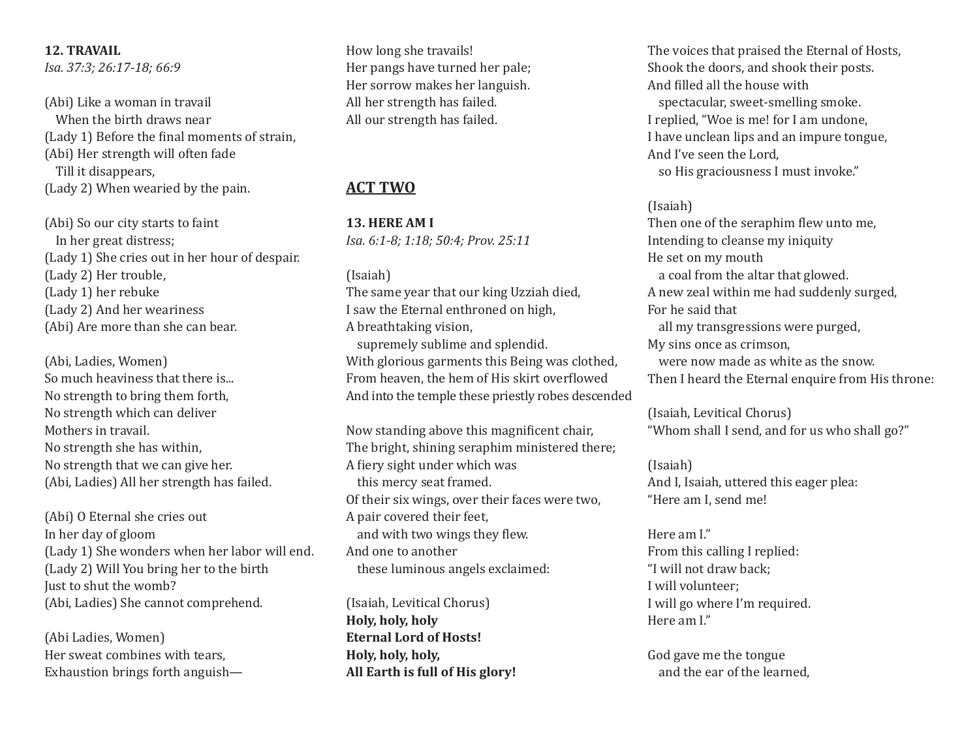## **12. TRAVAIL**

*Isa. 37:3; 26:17-18; 66:9*

(Abi) Like a woman in travail When the birth draws near (Lady 1) Before the final moments of strain, (Abi) Her strength will often fade Till it disappears, (Lady 2) When wearied by the pain.

(Abi) So our city starts to faint In her great distress; (Lady 1) She cries out in her hour of despair. (Lady 2) Her trouble, (Lady 1) her rebuke (Lady 2) And her weariness (Abi) Are more than she can bear.

(Abi, Ladies, Women) So much heaviness that there is... No strength to bring them forth, No strength which can deliver Mothers in travail. No strength she has within, No strength that we can give her. (Abi, Ladies) All her strength has failed.

(Abi) O Eternal she cries out In her day of gloom (Lady 1) She wonders when her labor will end. (Lady 2) Will You bring her to the birth Just to shut the womb? (Abi, Ladies) She cannot comprehend.

(Abi Ladies, Women) Her sweat combines with tears, Exhaustion brings forth anguishHow long she travails! Her pangs have turned her pale; Her sorrow makes her languish. All her strength has failed. All our strength has failed.

## **ACT TWO**

**13. HERE AM I**  *Isa. 6:1-8; 1:18; 50:4; Prov. 25:11*

#### (Isaiah)

The same year that our king Uzziah died, I saw the Eternal enthroned on high, A breathtaking vision, supremely sublime and splendid.

With glorious garments this Being was clothed, From heaven, the hem of His skirt overflowed And into the temple these priestly robes descended

Now standing above this magnificent chair, The bright, shining seraphim ministered there; A fiery sight under which was this mercy seat framed. Of their six wings, over their faces were two, A pair covered their feet, and with two wings they flew. And one to another these luminous angels exclaimed:

(Isaiah, Levitical Chorus) **Holy, holy, holy Eternal Lord of Hosts! Holy, holy, holy, All Earth is full of His glory!** 

The voices that praised the Eternal of Hosts, Shook the doors, and shook their posts. And filled all the house with spectacular, sweet-smelling smoke. I replied, "Woe is me! for I am undone, I have unclean lips and an impure tongue, And I've seen the Lord, so His graciousness I must invoke."

#### (Isaiah)

Then one of the seraphim flew unto me, Intending to cleanse my iniquity He set on my mouth a coal from the altar that glowed. A new zeal within me had suddenly surged, For he said that all my transgressions were purged, My sins once as crimson, were now made as white as the snow. Then I heard the Eternal enquire from His throne:

(Isaiah, Levitical Chorus) "Whom shall I send, and for us who shall go?"

(Isaiah) And I, Isaiah, uttered this eager plea: "Here am I, send me!

Here am I." From this calling I replied: "I will not draw back; I will volunteer; I will go where I'm required. Here am I."

God gave me the tongue and the ear of the learned,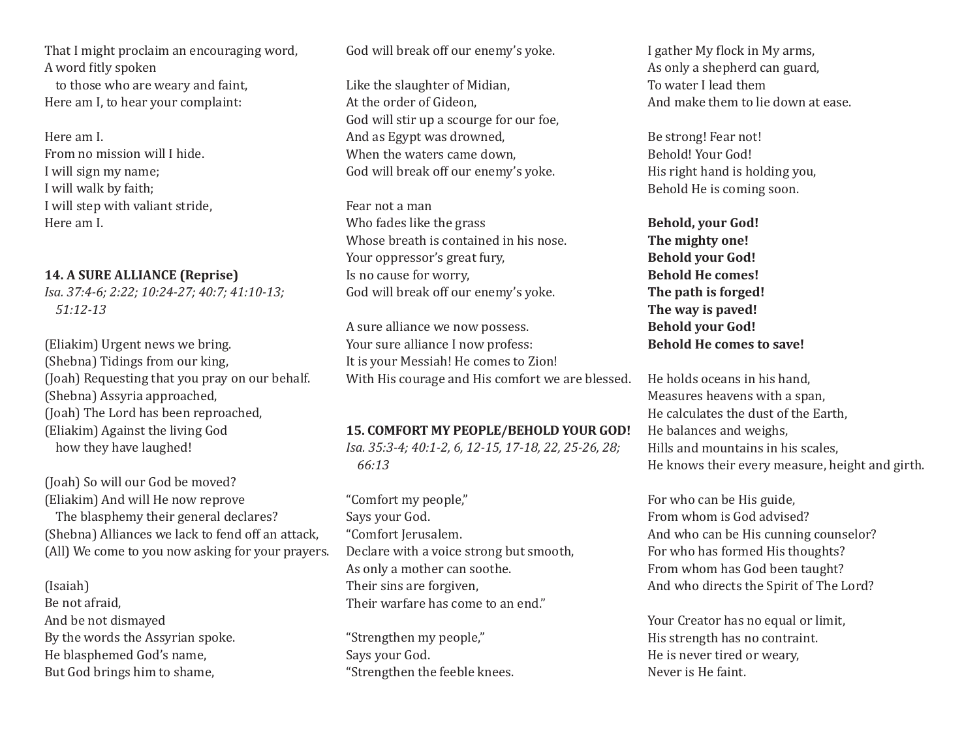That I might proclaim an encouraging word, A word fitly spoken

to those who are weary and faint, Here am I, to hear your complaint:

Here am I. From no mission will I hide. I will sign my name; I will walk by faith; I will step with valiant stride, Here am I.

#### **14. A SURE ALLIANCE (Reprise)**

*Isa. 37:4-6; 2:22; 10:24-27; 40:7; 41:10-13; 51:12-13*

(Eliakim) Urgent news we bring. (Shebna) Tidings from our king, (Joah) Requesting that you pray on our behalf. (Shebna) Assyria approached, (Joah) The Lord has been reproached, (Eliakim) Against the living God how they have laughed!

(Joah) So will our God be moved? (Eliakim) And will He now reprove The blasphemy their general declares? (Shebna) Alliances we lack to fend off an attack, (All) We come to you now asking for your prayers.

#### (Isaiah)

Be not afraid, And be not dismayed By the words the Assyrian spoke. He blasphemed God's name, But God brings him to shame,

God will break off our enemy's yoke.

Like the slaughter of Midian, At the order of Gideon, God will stir up a scourge for our foe, And as Egypt was drowned, When the waters came down, God will break off our enemy's yoke.

Fear not a man Who fades like the grass Whose breath is contained in his nose. Your oppressor's great fury, Is no cause for worry, God will break off our enemy's yoke.

A sure alliance we now possess. Your sure alliance I now profess: It is your Messiah! He comes to Zion! With His courage and His comfort we are blessed. He holds oceans in his hand,

#### **15. COMFORT MY PEOPLE/BEHOLD YOUR GOD!**

*Isa. 35:3-4; 40:1-2, 6, 12-15, 17-18, 22, 25-26, 28; 66:13*

"Comfort my people," Says your God. "Comfort Jerusalem. Declare with a voice strong but smooth, As only a mother can soothe. Their sins are forgiven, Their warfare has come to an end."

"Strengthen my people," Says your God. "Strengthen the feeble knees. I gather My flock in My arms, As only a shepherd can guard, To water I lead them And make them to lie down at ease.

Be strong! Fear not! Behold! Your God! His right hand is holding you, Behold He is coming soon.

**Behold, your God! The mighty one! Behold your God! Behold He comes! The path is forged! The way is paved! Behold your God! Behold He comes to save!**

Measures heavens with a span, He calculates the dust of the Earth, He balances and weighs, Hills and mountains in his scales, He knows their every measure, height and girth.

For who can be His guide, From whom is God advised? And who can be His cunning counselor? For who has formed His thoughts? From whom has God been taught? And who directs the Spirit of The Lord?

Your Creator has no equal or limit, His strength has no contraint. He is never tired or weary, Never is He faint.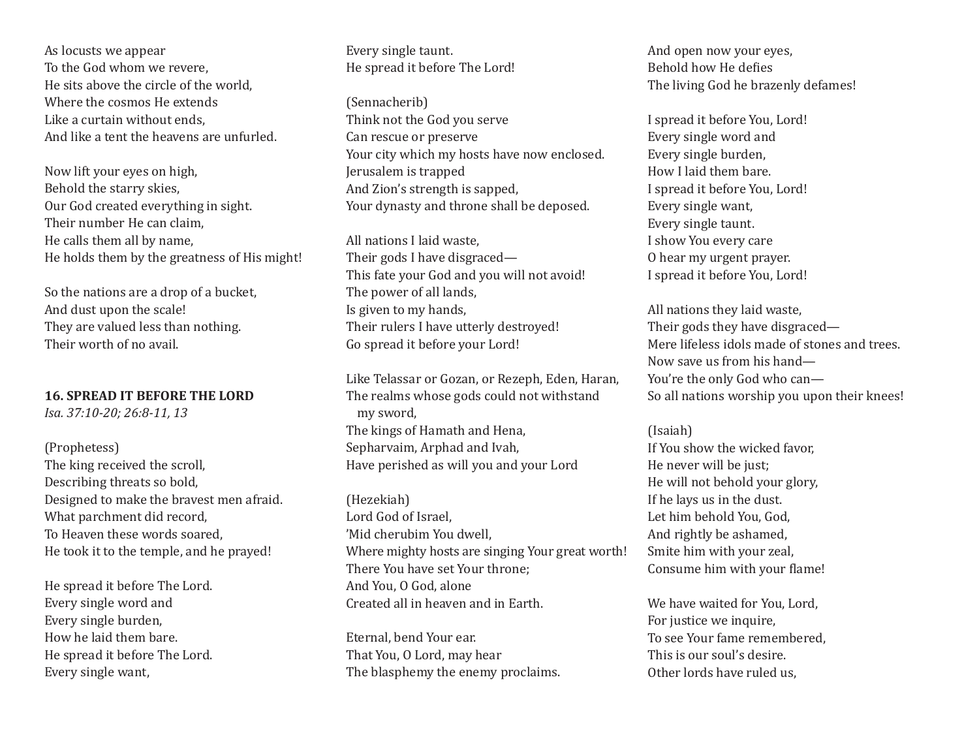As locusts we appear To the God whom we revere, He sits above the circle of the world, Where the cosmos He extends Like a curtain without ends, And like a tent the heavens are unfurled.

Now lift your eyes on high, Behold the starry skies, Our God created everything in sight. Their number He can claim, He calls them all by name, He holds them by the greatness of His might!

So the nations are a drop of a bucket, And dust upon the scale! They are valued less than nothing. Their worth of no avail.

#### **16. SPREAD IT BEFORE THE LORD**

*Isa. 37:10-20; 26:8-11, 13*

# (Prophetess)

The king received the scroll, Describing threats so bold, Designed to make the bravest men afraid. What parchment did record, To Heaven these words soared, He took it to the temple, and he prayed!

He spread it before The Lord. Every single word and Every single burden, How he laid them bare. He spread it before The Lord. Every single want,

## Every single taunt. He spread it before The Lord!

(Sennacherib) Think not the God you serve Can rescue or preserve Your city which my hosts have now enclosed. Jerusalem is trapped And Zion's strength is sapped, Your dynasty and throne shall be deposed.

All nations I laid waste, Their gods I have disgraced— This fate your God and you will not avoid! The power of all lands, Is given to my hands, Their rulers I have utterly destroyed! Go spread it before your Lord!

Like Telassar or Gozan, or Rezeph, Eden, Haran, The realms whose gods could not withstand my sword, The kings of Hamath and Hena, Sepharvaim, Arphad and Ivah, Have perished as will you and your Lord

(Hezekiah) Lord God of Israel, 'Mid cherubim You dwell, Where mighty hosts are singing Your great worth! There You have set Your throne; And You, O God, alone Created all in heaven and in Earth.

Eternal, bend Your ear. That You, O Lord, may hear The blasphemy the enemy proclaims.

And open now your eyes, Behold how He defies The living God he brazenly defames!

I spread it before You, Lord! Every single word and Every single burden, How I laid them bare. I spread it before You, Lord! Every single want, Every single taunt. I show You every care O hear my urgent prayer. I spread it before You, Lord!

All nations they laid waste, Their gods they have disgraced— Mere lifeless idols made of stones and trees. Now save us from his hand— You're the only God who can— So all nations worship you upon their knees!

## (Isaiah)

If You show the wicked favor, He never will be just: He will not behold your glory, If he lays us in the dust. Let him behold You, God, And rightly be ashamed, Smite him with your zeal, Consume him with your flame!

We have waited for You, Lord, For justice we inquire, To see Your fame remembered, This is our soul's desire. Other lords have ruled us,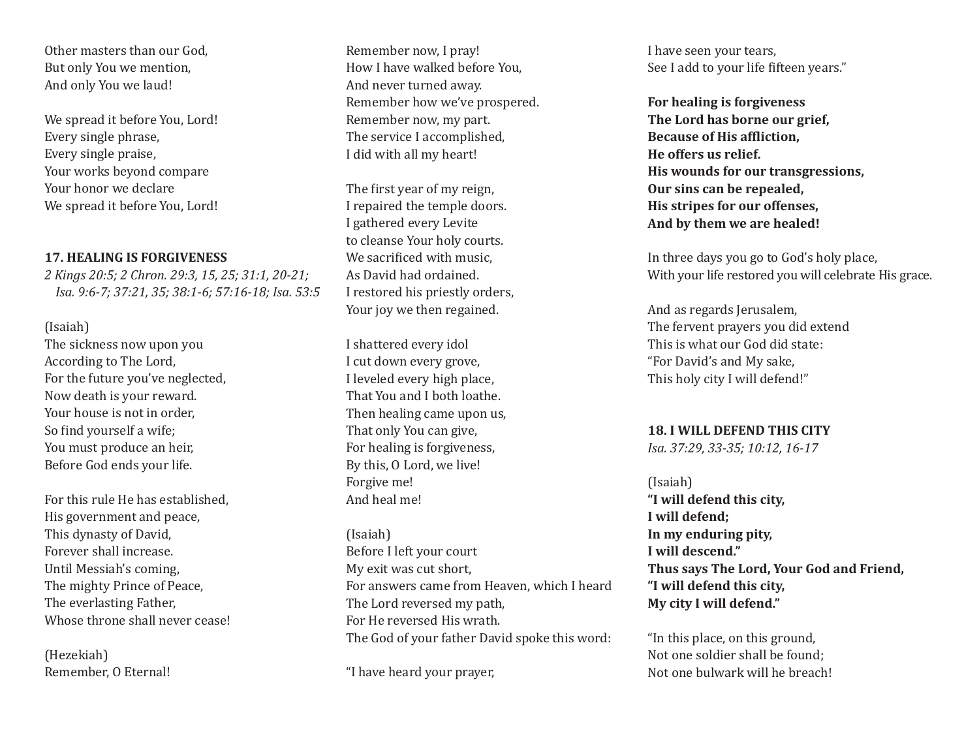Other masters than our God, But only You we mention, And only You we laud!

We spread it before You, Lord! Every single phrase, Every single praise, Your works beyond compare Your honor we declare We spread it before You, Lord!

#### **17. HEALING IS FORGIVENESS**

*2 Kings 20:5; 2 Chron. 29:3, 15, 25; 31:1, 20-21; Isa. 9:6-7; 37:21, 35; 38:1-6; 57:16-18; Isa. 53:5*

#### (Isaiah)

The sickness now upon you According to The Lord, For the future you've neglected, Now death is your reward. Your house is not in order, So find yourself a wife; You must produce an heir, Before God ends your life.

For this rule He has established, His government and peace, This dynasty of David, Forever shall increase. Until Messiah's coming, The mighty Prince of Peace, The everlasting Father, Whose throne shall never cease!

(Hezekiah) Remember, O Eternal!

Remember now, I pray! How I have walked before You, And never turned away. Remember how we've prospered. Remember now, my part. The service I accomplished, I did with all my heart!

The first year of my reign, I repaired the temple doors. I gathered every Levite to cleanse Your holy courts. We sacrificed with music. As David had ordained. I restored his priestly orders, Your joy we then regained.

I shattered every idol I cut down every grove, I leveled every high place, That You and I both loathe. Then healing came upon us, That only You can give, For healing is forgiveness, By this, O Lord, we live! Forgive me! And heal me!

(Isaiah) Before I left your court My exit was cut short, For answers came from Heaven, which I heard The Lord reversed my path, For He reversed His wrath. The God of your father David spoke this word:

"I have heard your prayer,

I have seen your tears, See I add to your life fifteen years."

**For healing is forgiveness The Lord has borne our grief, Because of His affliction, He offers us relief. His wounds for our transgressions, Our sins can be repealed, His stripes for our offenses, And by them we are healed!**

In three days you go to God's holy place, With your life restored you will celebrate His grace.

And as regards Jerusalem, The fervent prayers you did extend This is what our God did state: "For David's and My sake, This holy city I will defend!"

#### **18. I WILL DEFEND THIS CITY**

*Isa. 37:29, 33-35; 10:12, 16-17*

(Isaiah) **"I will defend this city, I will defend; In my enduring pity, I will descend." Thus says The Lord, Your God and Friend, "I will defend this city, My city I will defend."**

"In this place, on this ground, Not one soldier shall be found; Not one bulwark will he breach!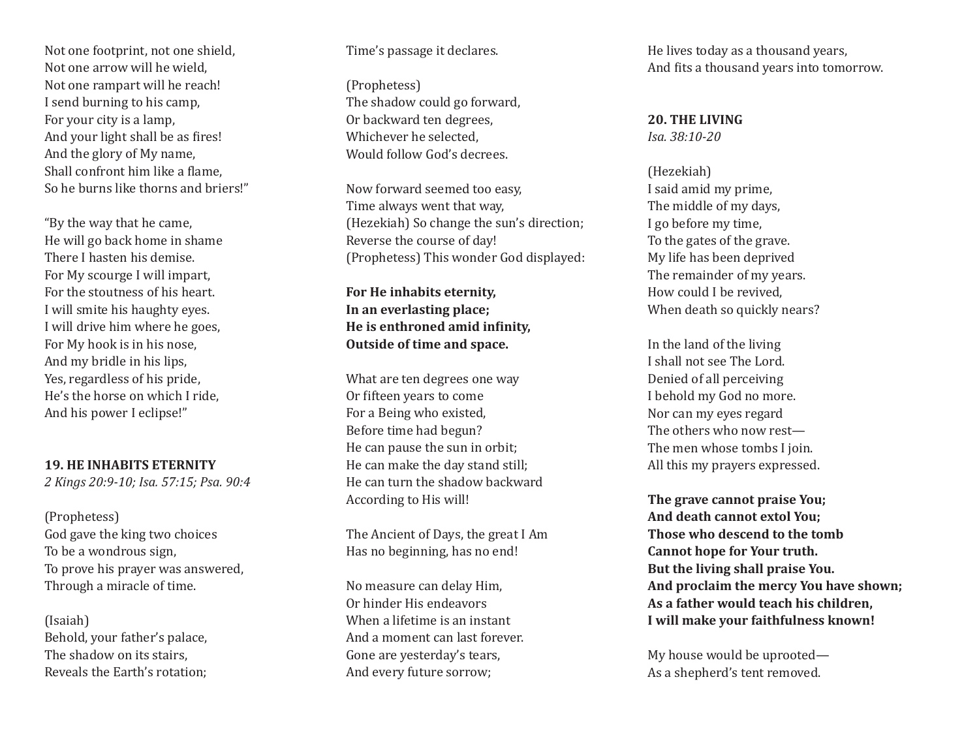Not one footprint, not one shield, Not one arrow will he wield, Not one rampart will he reach! I send burning to his camp, For your city is a lamp, And your light shall be as fires! And the glory of My name, Shall confront him like a flame, So he burns like thorns and briers!"

"By the way that he came, He will go back home in shame There I hasten his demise. For My scourge I will impart, For the stoutness of his heart. I will smite his haughty eyes. I will drive him where he goes, For My hook is in his nose, And my bridle in his lips, Yes, regardless of his pride, He's the horse on which I ride, And his power I eclipse!"

**19. HE INHABITS ETERNITY**

*2 Kings 20:9-10; Isa. 57:15; Psa. 90:4*

(Prophetess) God gave the king two choices To be a wondrous sign, To prove his prayer was answered, Through a miracle of time.

(Isaiah) Behold, your father's palace, The shadow on its stairs, Reveals the Earth's rotation;

#### Time's passage it declares.

(Prophetess) The shadow could go forward, Or backward ten degrees, Whichever he selected, Would follow God's decrees.

Now forward seemed too easy, Time always went that way, (Hezekiah) So change the sun's direction; Reverse the course of day! (Prophetess) This wonder God displayed:

**For He inhabits eternity, In an everlasting place; He is enthroned amid infinity, Outside of time and space.**

What are ten degrees one way Or fifteen years to come For a Being who existed, Before time had begun? He can pause the sun in orbit; He can make the day stand still; He can turn the shadow backward According to His will!

The Ancient of Days, the great I Am Has no beginning, has no end!

No measure can delay Him, Or hinder His endeavors When a lifetime is an instant And a moment can last forever. Gone are yesterday's tears, And every future sorrow;

He lives today as a thousand years, And fits a thousand years into tomorrow.

**20. THE LIVING** *Isa. 38:10-20*

(Hezekiah) I said amid my prime, The middle of my days, I go before my time, To the gates of the grave. My life has been deprived The remainder of my years. How could I be revived, When death so quickly nears?

In the land of the living I shall not see The Lord. Denied of all perceiving I behold my God no more. Nor can my eyes regard The others who now rest— The men whose tombs I join. All this my prayers expressed.

**The grave cannot praise You; And death cannot extol You; Those who descend to the tomb Cannot hope for Your truth. But the living shall praise You. And proclaim the mercy You have shown; As a father would teach his children, I will make your faithfulness known!**

My house would be uprooted— As a shepherd's tent removed.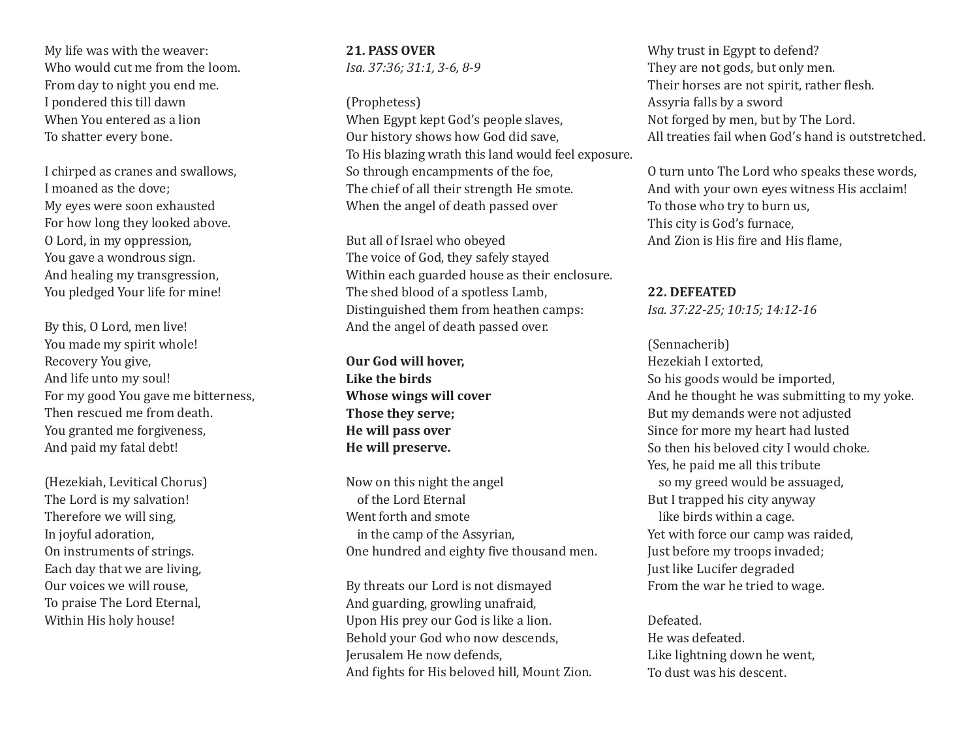My life was with the weaver: Who would cut me from the loom. From day to night you end me. I pondered this till dawn When You entered as a lion To shatter every bone.

I chirped as cranes and swallows, I moaned as the dove; My eyes were soon exhausted For how long they looked above. O Lord, in my oppression, You gave a wondrous sign. And healing my transgression, You pledged Your life for mine!

By this, O Lord, men live! You made my spirit whole! Recovery You give, And life unto my soul! For my good You gave me bitterness, Then rescued me from death. You granted me forgiveness, And paid my fatal debt!

(Hezekiah, Levitical Chorus) The Lord is my salvation! Therefore we will sing, In joyful adoration, On instruments of strings. Each day that we are living, Our voices we will rouse, To praise The Lord Eternal, Within His holy house!

**21. PASS OVER** *Isa. 37:36; 31:1, 3-6, 8-9*

(Prophetess)

When Egypt kept God's people slaves, Our history shows how God did save, To His blazing wrath this land would feel exposure. So through encampments of the foe, The chief of all their strength He smote. When the angel of death passed over

But all of Israel who obeyed The voice of God, they safely stayed Within each guarded house as their enclosure. The shed blood of a spotless Lamb, Distinguished them from heathen camps: And the angel of death passed over.

**Our God will hover, Like the birds Whose wings will cover Those they serve; He will pass over He will preserve.**

Now on this night the angel of the Lord Eternal Went forth and smote in the camp of the Assyrian, One hundred and eighty five thousand men.

By threats our Lord is not dismayed And guarding, growling unafraid, Upon His prey our God is like a lion. Behold your God who now descends, Jerusalem He now defends, And fights for His beloved hill, Mount Zion.

Why trust in Egypt to defend? They are not gods, but only men. Their horses are not spirit, rather flesh. Assyria falls by a sword Not forged by men, but by The Lord. All treaties fail when God's hand is outstretched.

O turn unto The Lord who speaks these words, And with your own eyes witness His acclaim! To those who try to burn us, This city is God's furnace, And Zion is His fire and His flame,

**22. DEFEATED** 

*Isa. 37:22-25; 10:15; 14:12-16* (Sennacherib) Hezekiah I extorted, So his goods would be imported, And he thought he was submitting to my yoke. But my demands were not adjusted Since for more my heart had lusted So then his beloved city I would choke. Yes, he paid me all this tribute so my greed would be assuaged, But I trapped his city anyway like birds within a cage. Yet with force our camp was raided, Just before my troops invaded; Just like Lucifer degraded From the war he tried to wage.

Defeated. He was defeated. Like lightning down he went, To dust was his descent.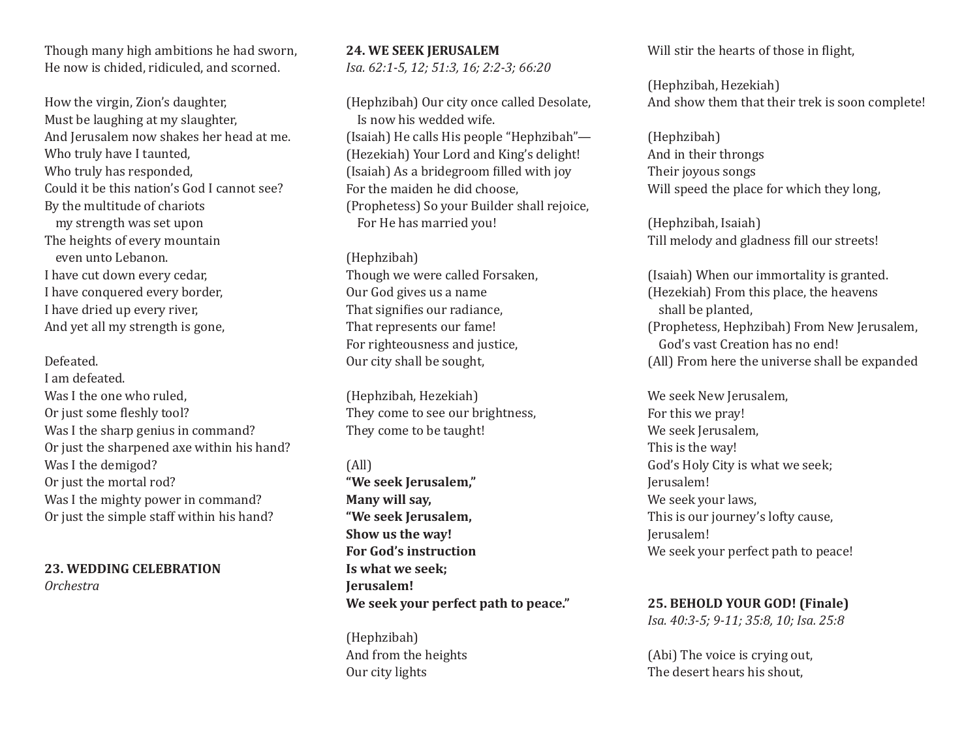Though many high ambitions he had sworn, He now is chided, ridiculed, and scorned.

How the virgin, Zion's daughter, Must be laughing at my slaughter, And Jerusalem now shakes her head at me. Who truly have I taunted, Who truly has responded, Could it be this nation's God I cannot see? By the multitude of chariots my strength was set upon The heights of every mountain even unto Lebanon. I have cut down every cedar, I have conquered every border, I have dried up every river, And yet all my strength is gone,

Defeated. I am defeated. Was I the one who ruled. Or just some fleshly tool? Was I the sharp genius in command? Or just the sharpened axe within his hand? Was I the demigod? Or just the mortal rod? Was I the mighty power in command? Or just the simple staff within his hand?

**23. WEDDING CELEBRATION** *Orchestra*

**24. WE SEEK JERUSALEM**  *Isa. 62:1-5, 12; 51:3, 16; 2:2-3; 66:20*

(Hephzibah) Our city once called Desolate, Is now his wedded wife. (Isaiah) He calls His people "Hephzibah"— (Hezekiah) Your Lord and King's delight! (Isaiah) As a bridegroom filled with joy For the maiden he did choose, (Prophetess) So your Builder shall rejoice, For He has married you!

(Hephzibah) Though we were called Forsaken, Our God gives us a name That signifies our radiance, That represents our fame! For righteousness and justice, Our city shall be sought,

(Hephzibah, Hezekiah) They come to see our brightness, They come to be taught!

(All) **"We seek Jerusalem," Many will say, "We seek Jerusalem, Show us the way! For God's instruction Is what we seek; Jerusalem! We seek your perfect path to peace."**

(Hephzibah) And from the heights Our city lights

Will stir the hearts of those in flight,

(Hephzibah, Hezekiah) And show them that their trek is soon complete!

(Hephzibah) And in their throngs Their joyous songs Will speed the place for which they long,

(Hephzibah, Isaiah) Till melody and gladness fill our streets!

(Isaiah) When our immortality is granted. (Hezekiah) From this place, the heavens shall be planted, (Prophetess, Hephzibah) From New Jerusalem, God's vast Creation has no end! (All) From here the universe shall be expanded

We seek New Jerusalem, For this we pray! We seek Jerusalem. This is the way! God's Holy City is what we seek; Jerusalem! We seek your laws, This is our journey's lofty cause, Jerusalem! We seek your perfect path to peace!

**25. BEHOLD YOUR GOD! (Finale)** *Isa. 40:3-5; 9-11; 35:8, 10; Isa. 25:8*

(Abi) The voice is crying out, The desert hears his shout,